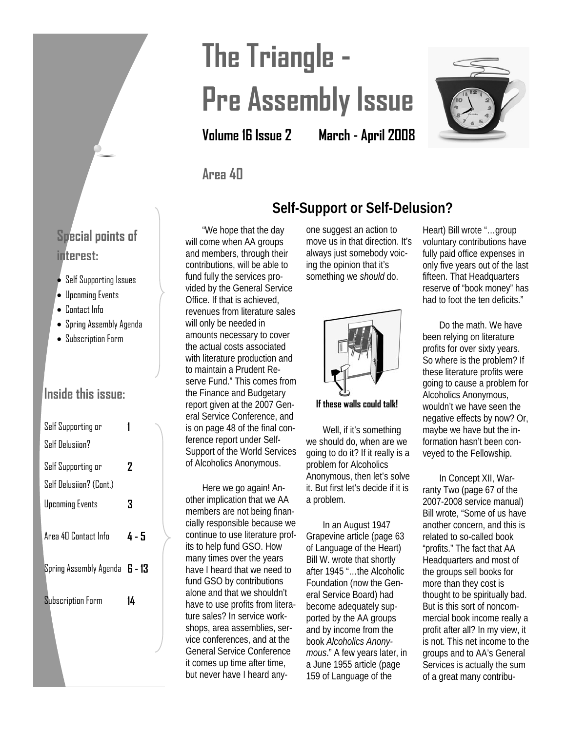# **The Triangle - Pre Assembly Issue**

**Volume 16 Issue 2 March - April 2008** 



### **Area 40**

"We hope that the day will come when AA groups and members, through their contributions, will be able to fund fully the services provided by the General Service Office. If that is achieved, revenues from literature sales will only be needed in amounts necessary to cover the actual costs associated with literature production and to maintain a Prudent Reserve Fund." This comes from the Finance and Budgetary report given at the 2007 General Service Conference, and is on page 48 of the final conference report under Self-Support of the World Services of Alcoholics Anonymous.

Here we go again! Another implication that we AA members are not being financially responsible because we continue to use literature profits to help fund GSO. How many times over the years have I heard that we need to fund GSO by contributions alone and that we shouldn't have to use profits from literature sales? In service workshops, area assemblies, service conferences, and at the General Service Conference it comes up time after time, but never have I heard anyone suggest an action to move us in that direction. It's always just somebody voicing the opinion that it's something we *should* do.

**Self-Support or Self-Delusion?**



**If these walls could talk!** 

Well, if it's something we should do, when are we going to do it? If it really is a problem for Alcoholics Anonymous, then let's solve it. But first let's decide if it is a problem.

In an August 1947 Grapevine article (page 63 of Language of the Heart) Bill W. wrote that shortly after 1945 "…the Alcoholic Foundation (now the General Service Board) had become adequately supported by the AA groups and by income from the book *Alcoholics Anonymous*." A few years later, in a June 1955 article (page 159 of Language of the

Heart) Bill wrote "…group voluntary contributions have fully paid office expenses in only five years out of the last fifteen. That Headquarters reserve of "book money" has had to foot the ten deficits."

Do the math. We have been relying on literature profits for over sixty years. So where is the problem? If these literature profits were going to cause a problem for Alcoholics Anonymous, wouldn't we have seen the negative effects by now? Or, maybe we have but the information hasn't been conveyed to the Fellowship.

In Concept XII, Warranty Two (page 67 of the 2007-2008 service manual) Bill wrote, "Some of us have another concern, and this is related to so-called book "profits." The fact that AA Headquarters and most of the groups sell books for more than they cost is thought to be spiritually bad. But is this sort of noncommercial book income really a profit after all? In my view, it is not. This net income to the groups and to AA's General Services is actually the sum of a great many contribu-

### **Special points of interest:**

- Self Supporting Issues
- Upcoming Events
- Contact Info
- Spring Assembly Agenda
- Subscription Form

### **Inside this issue:**

| Self Supporting or                   |       |
|--------------------------------------|-------|
| Self Delusiion?                      |       |
| Self Supporting or                   | 2     |
| Self Delusiion? (Cont.)              |       |
| Upcoming Events                      | 3     |
| Area 40 Contact Info                 | 4 - 5 |
|                                      |       |
| Spring Assembly Agenda <b>6 - 13</b> |       |
| <b>Subscription Form</b>             | 14    |
|                                      |       |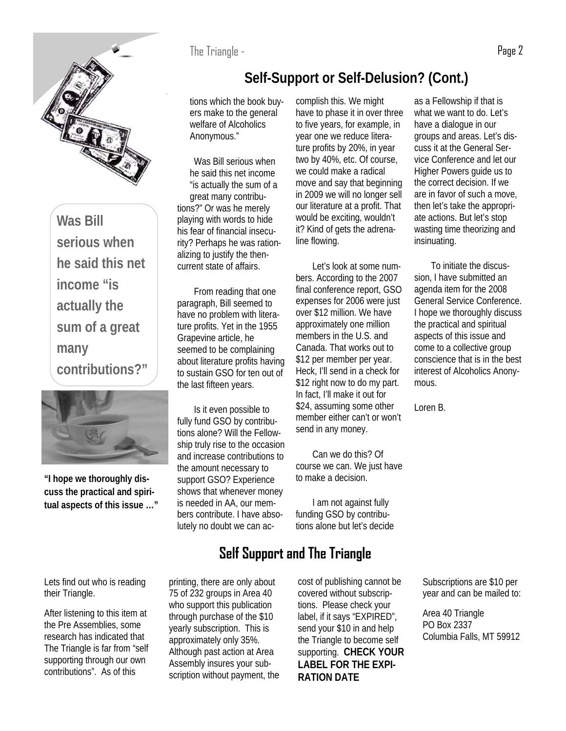

**Was Bill serious when he said this net income "is actually the sum of a great many contributions?"** 



**"I hope we thoroughly discuss the practical and spiritual aspects of this issue …"**

### **Self-Support or Self-Delusion? (Cont.)**

tions which the book buyers make to the general welfare of Alcoholics Anonymous."

Was Bill serious when he said this net income "is actually the sum of a great many contributions?" Or was he merely playing with words to hide his fear of financial insecurity? Perhaps he was rationalizing to justify the thencurrent state of affairs.

From reading that one paragraph, Bill seemed to have no problem with literature profits. Yet in the 1955 Grapevine article, he seemed to be complaining about literature profits having to sustain GSO for ten out of the last fifteen years.

Is it even possible to fully fund GSO by contributions alone? Will the Fellowship truly rise to the occasion and increase contributions to the amount necessary to support GSO? Experience shows that whenever money is needed in AA, our members contribute. I have absolutely no doubt we can ac-

complish this. We might have to phase it in over three to five years, for example, in year one we reduce literature profits by 20%, in year two by 40%, etc. Of course, we could make a radical move and say that beginning in 2009 we will no longer sell our literature at a profit. That would be exciting, wouldn't it? Kind of gets the adrenaline flowing.

Let's look at some numbers. According to the 2007 final conference report, GSO expenses for 2006 were just over \$12 million. We have approximately one million members in the U.S. and Canada. That works out to \$12 per member per year. Heck, I'll send in a check for \$12 right now to do my part. In fact, I'll make it out for \$24, assuming some other member either can't or won't send in any money.

Can we do this? Of course we can. We just have to make a decision.

I am not against fully funding GSO by contributions alone but let's decide

### **Self Support and The Triangle**

printing, there are only about 75 of 232 groups in Area 40 who support this publication through purchase of the \$10 yearly subscription. This is approximately only 35%. Although past action at Area Assembly insures your subscription without payment, the cost of publishing cannot be covered without subscriptions. Please check your label, if it says "EXPIRED", send your \$10 in and help the Triangle to become self supporting. **CHECK YOUR LABEL FOR THE EXPI-RATION DATE**

as a Fellowship if that is what we want to do. Let's have a dialogue in our groups and areas. Let's discuss it at the General Service Conference and let our Higher Powers guide us to the correct decision. If we are in favor of such a move, then let's take the appropriate actions. But let's stop wasting time theorizing and insinuating.

To initiate the discussion, I have submitted an agenda item for the 2008 General Service Conference. I hope we thoroughly discuss the practical and spiritual aspects of this issue and come to a collective group conscience that is in the best interest of Alcoholics Anonymous.

Loren B.

Subscriptions are \$10 per year and can be mailed to:

Area 40 Triangle PO Box 2337 Columbia Falls, MT 59912

Lets find out who is reading their Triangle.

After listening to this item at the Pre Assemblies, some research has indicated that The Triangle is far from "self supporting through our own contributions". As of this

The Triangle - Page 2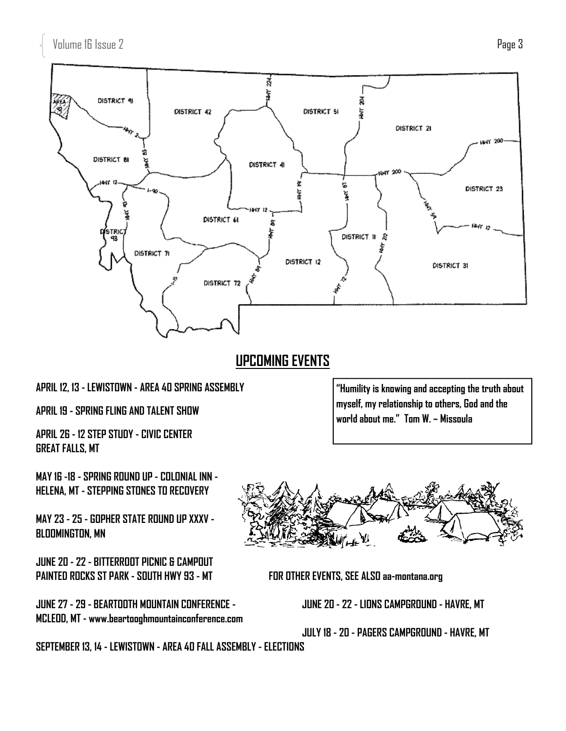

### **UPCOMING EVENTS**

### **APRIL 12, 13 - LEWISTOWN - AREA 40 SPRING ASSEMBLY**

**APRIL 19 - SPRING FLING AND TALENT SHOW** 

**APRIL 26 - 12 STEP STUDY - CIVIC CENTER GREAT FALLS, MT** 

**MAY 16 -18 - SPRING ROUND UP - COLONIAL INN - HELENA, MT - STEPPING STONES TO RECOVERY** 

**MAY 23 - 25 - GOPHER STATE ROUND UP XXXV - BLOOMINGTON, MN** 

**JUNE 20 - 22 - BITTERROOT PICNIC & CAMPOUT**  PAINTED ROCKS ST PARK - SOUTH HWY 93 - MT **FOR OTHER EVENTS, SEE ALSO aa-montana.org** 

**JUNE 27 - 29 - BEARTOOTH MOUNTAIN CONFERENCE - JUNE 20 - 22 - LIONS CAMPGROUND - HAVRE, MT MCLEOD, MT - www.beartooghmountainconference.com** 

**"Humility is knowing and accepting the truth about myself, my relationship to others, God and the world about me." Tom W. – Missoula** 



 **JULY 18 - 20 - PAGERS CAMPGROUND - HAVRE, MT** 

**SEPTEMBER 13, 14 - LEWISTOWN - AREA 40 FALL ASSEMBLY - ELECTIONS**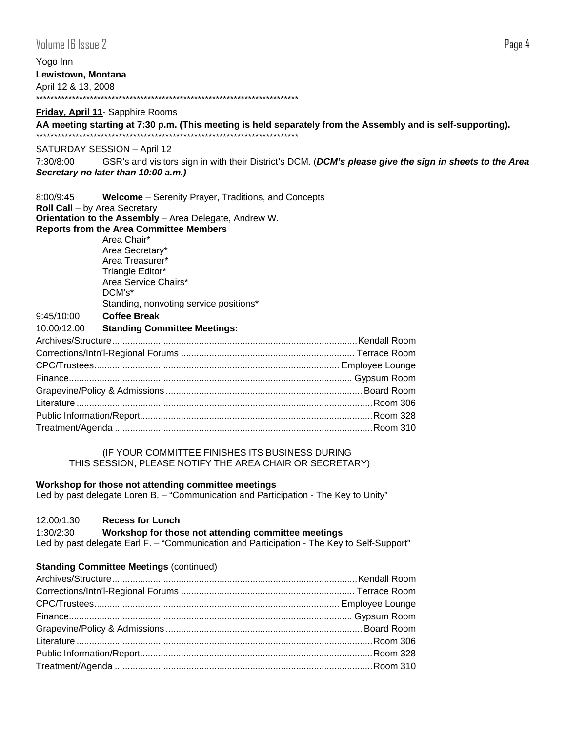Yogo Inn **Lewistown, Montana**  April 12 & 13, 2008 \*\*\*\*\*\*\*\*\*\*\*\*\*\*\*\*\*\*\*\*\*\*\*\*\*\*\*\*\*\*\*\*\*\*\*\*\*\*\*\*\*\*\*\*\*\*\*\*\*\*\*\*\*\*\*\*\*\*\*\*\*\*\*\*\*\*\*\*\*\*\*\*\*

#### **Friday, April 11**- Sapphire Rooms

**AA meeting starting at 7:30 p.m. (This meeting is held separately from the Assembly and is self-supporting).**  \*\*\*\*\*\*\*\*\*\*\*\*\*\*\*\*\*\*\*\*\*\*\*\*\*\*\*\*\*\*\*\*\*\*\*\*\*\*\*\*\*\*\*\*\*\*\*\*\*\*\*\*\*\*\*\*\*\*\*\*\*\*\*\*\*\*\*\*\*\*\*\*\*

#### SATURDAY SESSION – April 12

7:30/8:00 GSR's and visitors sign in with their District's DCM. (*DCM's please give the sign in sheets to the Area Secretary no later than 10:00 a.m.)*

| 8:00/9:45                     | <b>Welcome</b> – Serenity Prayer, Traditions, and Concepts |  |
|-------------------------------|------------------------------------------------------------|--|
| Roll Call - by Area Secretary |                                                            |  |
|                               | Orientation to the Assembly - Area Delegate, Andrew W.     |  |
|                               | <b>Reports from the Area Committee Members</b>             |  |
|                               | Area Chair*                                                |  |
|                               | Area Secretary*                                            |  |
|                               | Area Treasurer*                                            |  |
|                               | Triangle Editor*                                           |  |
|                               | Area Service Chairs*                                       |  |
|                               | $DCM's*$                                                   |  |
|                               | Standing, nonvoting service positions*                     |  |
| 9:45/10:00                    | <b>Coffee Break</b>                                        |  |
| 10:00/12:00                   | <b>Standing Committee Meetings:</b>                        |  |
|                               |                                                            |  |
|                               |                                                            |  |
|                               |                                                            |  |
|                               |                                                            |  |
|                               |                                                            |  |
|                               |                                                            |  |
|                               |                                                            |  |
|                               |                                                            |  |

 (IF YOUR COMMITTEE FINISHES ITS BUSINESS DURING THIS SESSION, PLEASE NOTIFY THE AREA CHAIR OR SECRETARY)

#### **Workshop for those not attending committee meetings**

Led by past delegate Loren B. – "Communication and Participation - The Key to Unity"

### 12:00/1:30 **Recess for Lunch**

#### 1:30/2:30 **Workshop for those not attending committee meetings**

Led by past delegate Earl F. – "Communication and Participation - The Key to Self-Support"

#### **Standing Committee Meetings (continued)**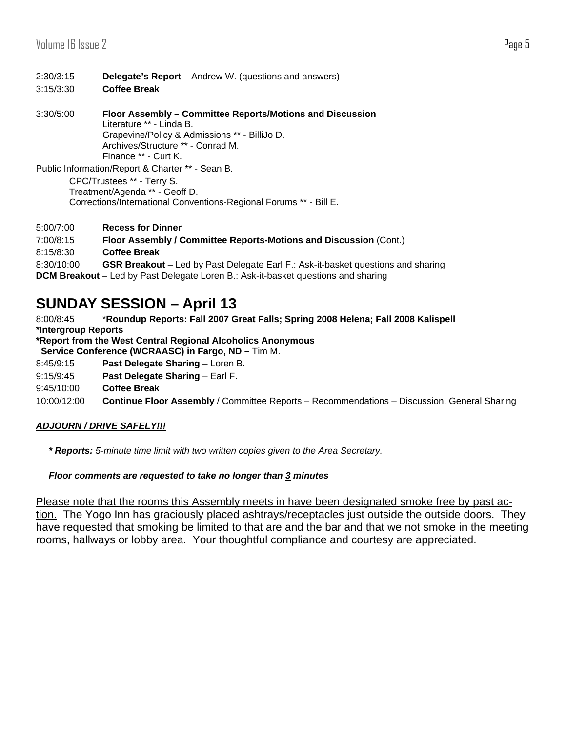### 2:30/3:15 **Delegate's Report** – Andrew W. (questions and answers)

- 3:15/3:30 **Coffee Break**
- 3:30/5:00 **Floor Assembly Committee Reports/Motions and Discussion**  Literature \*\* - Linda B. Grapevine/Policy & Admissions \*\* - BilliJo D. Archives/Structure \*\* - Conrad M. Finance \*\* - Curt K.

Public Information/Report & Charter \*\* - Sean B.

 CPC/Trustees \*\* - Terry S. Treatment/Agenda \*\* - Geoff D. Corrections/International Conventions-Regional Forums \*\* - Bill E.

5:00/7:00 **Recess for Dinner**

```
7:00/8:15 Floor Assembly / Committee Reports-Motions and Discussion (Cont.)
```
8:15/8:30 **Coffee Break**

8:30/10:00 **GSR Breakout** – Led by Past Delegate Earl F.: Ask-it-basket questions and sharing **DCM Breakout** – Led by Past Delegate Loren B.: Ask-it-basket questions and sharing

### **SUNDAY SESSION – April 13**

8:00/8:45 \***Roundup Reports: Fall 2007 Great Falls; Spring 2008 Helena; Fall 2008 Kalispell \*Intergroup Reports** 

**\*Report from the West Central Regional Alcoholics Anonymous** 

 **Service Conference (WCRAASC) in Fargo, ND –** Tim M.

- 8:45/9:15 **Past Delegate Sharing**  Loren B.
- 9:15/9:45 **Past Delegate Sharing** Earl F.
- 9:45/10:00 **Coffee Break**

10:00/12:00 **Continue Floor Assembly** / Committee Reports – Recommendations – Discussion, General Sharing

### *ADJOURN / DRIVE SAFELY!!!*

*\* Reports: 5-minute time limit with two written copies given to the Area Secretary.* 

### *Floor comments are requested to take no longer than 3 minutes*

Please note that the rooms this Assembly meets in have been designated smoke free by past action. The Yogo Inn has graciously placed ashtrays/receptacles just outside the outside doors. They have requested that smoking be limited to that are and the bar and that we not smoke in the meeting rooms, hallways or lobby area. Your thoughtful compliance and courtesy are appreciated.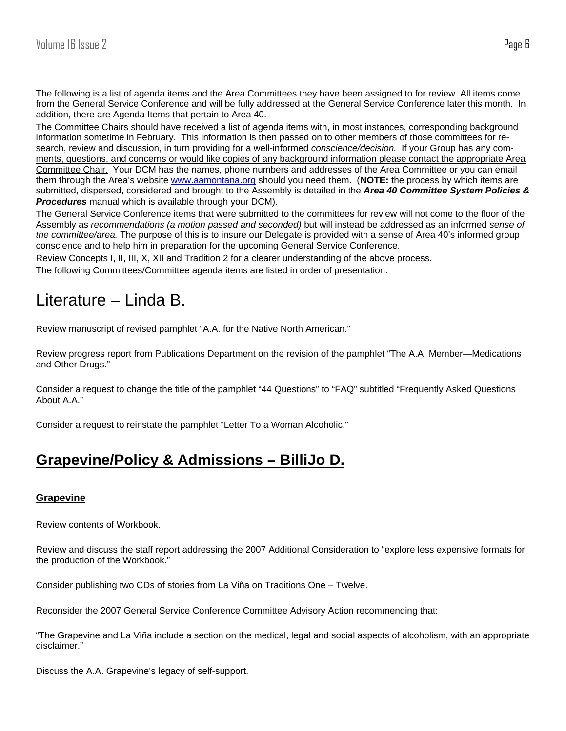The following is a list of agenda items and the Area Committees they have been assigned to for review. All items come from the General Service Conference and will be fully addressed at the General Service Conference later this month. In addition, there are Agenda Items that pertain to Area 40.

The Committee Chairs should have received a list of agenda items with, in most instances, corresponding background information sometime in February. This information is then passed on to other members of those committees for research, review and discussion, in turn providing for a well-informed *conscience/decision.* If your Group has any comments, questions, and concerns or would like copies of any background information please contact the appropriate Area Committee Chair. Your DCM has the names, phone numbers and addresses of the Area Committee or you can email them through the Area's website www.aamontana.org should you need them. (**NOTE:** the process by which items are submitted, dispersed, considered and brought to the Assembly is detailed in the *Area 40 Committee System Policies & Procedures* manual which is available through your DCM).

The General Service Conference items that were submitted to the committees for review will not come to the floor of the Assembly as *recommendations (a motion passed and seconded)* but will instead be addressed as an informed *sense of the committee/area.* The purpose of this is to insure our Delegate is provided with a sense of Area 40's informed group conscience and to help him in preparation for the upcoming General Service Conference.

Review Concepts I, II, III, X, XII and Tradition 2 for a clearer understanding of the above process. The following Committees/Committee agenda items are listed in order of presentation.

### Literature – Linda B.

Review manuscript of revised pamphlet "A.A. for the Native North American."

Review progress report from Publications Department on the revision of the pamphlet "The A.A. Member—Medications and Other Drugs."

Consider a request to change the title of the pamphlet "44 Questions" to "FAQ" subtitled "Frequently Asked Questions About A.A."

Consider a request to reinstate the pamphlet "Letter To a Woman Alcoholic."

### **Grapevine/Policy & Admissions – BilliJo D.**

### **Grapevine**

Review contents of Workbook.

Review and discuss the staff report addressing the 2007 Additional Consideration to "explore less expensive formats for the production of the Workbook."

Consider publishing two CDs of stories from La Viña on Traditions One – Twelve.

Reconsider the 2007 General Service Conference Committee Advisory Action recommending that:

"The Grapevine and La Viña include a section on the medical, legal and social aspects of alcoholism, with an appropriate disclaimer."

Discuss the A.A. Grapevine's legacy of self-support.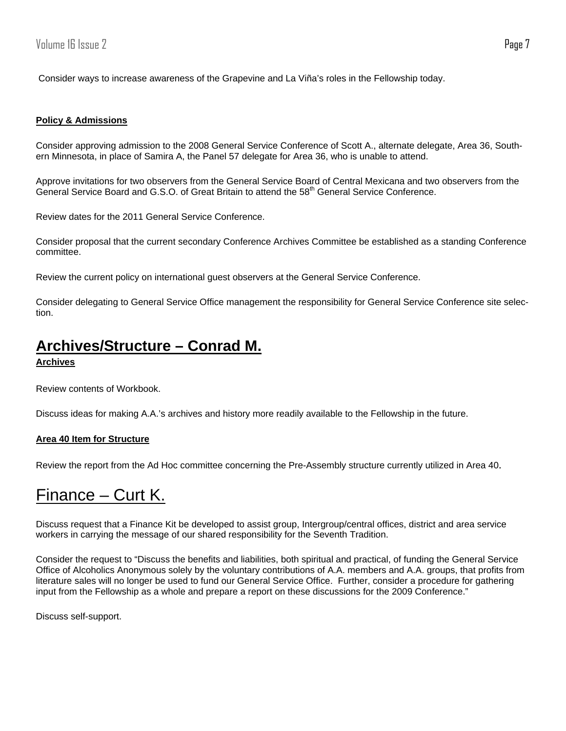Consider ways to increase awareness of the Grapevine and La Viña's roles in the Fellowship today.

#### **Policy & Admissions**

Consider approving admission to the 2008 General Service Conference of Scott A., alternate delegate, Area 36, Southern Minnesota, in place of Samira A, the Panel 57 delegate for Area 36, who is unable to attend.

Approve invitations for two observers from the General Service Board of Central Mexicana and two observers from the General Service Board and G.S.O. of Great Britain to attend the 58<sup>th</sup> General Service Conference.

Review dates for the 2011 General Service Conference.

Consider proposal that the current secondary Conference Archives Committee be established as a standing Conference committee.

Review the current policy on international guest observers at the General Service Conference.

Consider delegating to General Service Office management the responsibility for General Service Conference site selection.

### **Archives/Structure – Conrad M.**

**Archives**

Review contents of Workbook.

Discuss ideas for making A.A.'s archives and history more readily available to the Fellowship in the future.

#### **Area 40 Item for Structure**

Review the report from the Ad Hoc committee concerning the Pre-Assembly structure currently utilized in Area 40.

### Finance – Curt K.

Discuss request that a Finance Kit be developed to assist group, Intergroup/central offices, district and area service workers in carrying the message of our shared responsibility for the Seventh Tradition.

Consider the request to "Discuss the benefits and liabilities, both spiritual and practical, of funding the General Service Office of Alcoholics Anonymous solely by the voluntary contributions of A.A. members and A.A. groups, that profits from literature sales will no longer be used to fund our General Service Office. Further, consider a procedure for gathering input from the Fellowship as a whole and prepare a report on these discussions for the 2009 Conference."

Discuss self-support.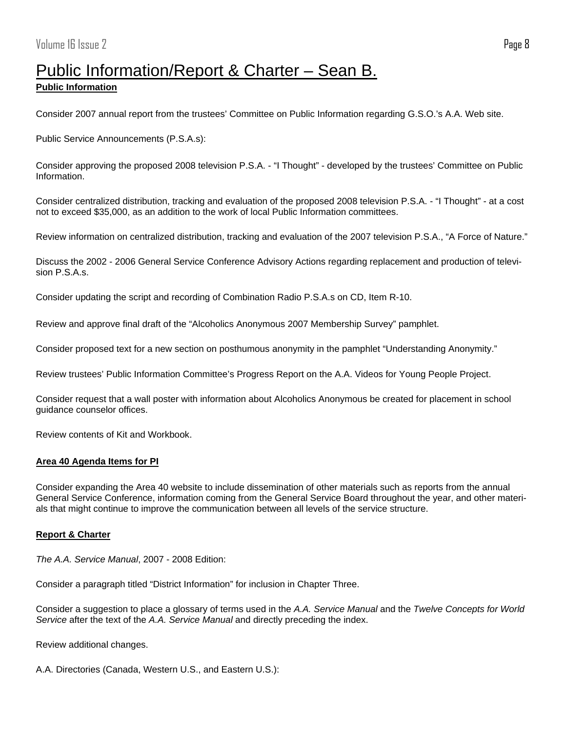# Public Information/Report & Charter – Sean B.

### **Public Information**

Consider 2007 annual report from the trustees' Committee on Public Information regarding G.S.O.'s A.A. Web site.

Public Service Announcements (P.S.A.s):

Consider approving the proposed 2008 television P.S.A. - "I Thought" - developed by the trustees' Committee on Public Information.

Consider centralized distribution, tracking and evaluation of the proposed 2008 television P.S.A. - "I Thought" - at a cost not to exceed \$35,000, as an addition to the work of local Public Information committees.

Review information on centralized distribution, tracking and evaluation of the 2007 television P.S.A., "A Force of Nature."

Discuss the 2002 - 2006 General Service Conference Advisory Actions regarding replacement and production of television P.S.A.s.

Consider updating the script and recording of Combination Radio P.S.A.s on CD, Item R-10.

Review and approve final draft of the "Alcoholics Anonymous 2007 Membership Survey" pamphlet.

Consider proposed text for a new section on posthumous anonymity in the pamphlet "Understanding Anonymity."

Review trustees' Public Information Committee's Progress Report on the A.A. Videos for Young People Project.

Consider request that a wall poster with information about Alcoholics Anonymous be created for placement in school guidance counselor offices.

Review contents of Kit and Workbook.

#### **Area 40 Agenda Items for PI**

Consider expanding the Area 40 website to include dissemination of other materials such as reports from the annual General Service Conference, information coming from the General Service Board throughout the year, and other materials that might continue to improve the communication between all levels of the service structure.

### **Report & Charter**

*The A.A. Service Manual*, 2007 - 2008 Edition:

Consider a paragraph titled "District Information" for inclusion in Chapter Three.

Consider a suggestion to place a glossary of terms used in the *A.A. Service Manual* and the *Twelve Concepts for World Service* after the text of the *A.A. Service Manual* and directly preceding the index.

Review additional changes.

A.A. Directories (Canada, Western U.S., and Eastern U.S.):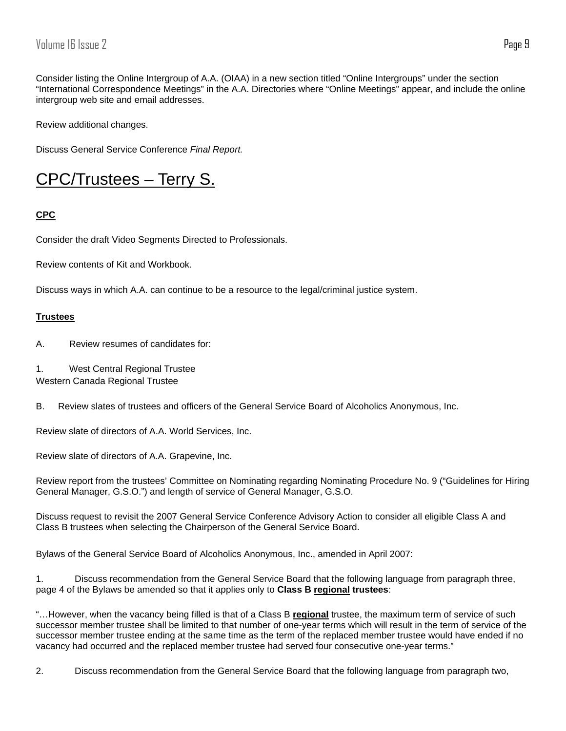Consider listing the Online Intergroup of A.A. (OIAA) in a new section titled "Online Intergroups" under the section "International Correspondence Meetings" in the A.A. Directories where "Online Meetings" appear, and include the online intergroup web site and email addresses.

Review additional changes.

Discuss General Service Conference *Final Report.* 

### CPC/Trustees – Terry S.

### **CPC**

Consider the draft Video Segments Directed to Professionals.

Review contents of Kit and Workbook.

Discuss ways in which A.A. can continue to be a resource to the legal/criminal justice system.

### **Trustees**

A. Review resumes of candidates for:

1. West Central Regional Trustee Western Canada Regional Trustee

B. Review slates of trustees and officers of the General Service Board of Alcoholics Anonymous, Inc.

Review slate of directors of A.A. World Services, Inc.

Review slate of directors of A.A. Grapevine, Inc.

Review report from the trustees' Committee on Nominating regarding Nominating Procedure No. 9 ("Guidelines for Hiring General Manager, G.S.O.") and length of service of General Manager, G.S.O.

Discuss request to revisit the 2007 General Service Conference Advisory Action to consider all eligible Class A and Class B trustees when selecting the Chairperson of the General Service Board.

Bylaws of the General Service Board of Alcoholics Anonymous, Inc., amended in April 2007:

1. Discuss recommendation from the General Service Board that the following language from paragraph three, page 4 of the Bylaws be amended so that it applies only to **Class B regional trustees**:

"…However, when the vacancy being filled is that of a Class B **regional** trustee, the maximum term of service of such successor member trustee shall be limited to that number of one-year terms which will result in the term of service of the successor member trustee ending at the same time as the term of the replaced member trustee would have ended if no vacancy had occurred and the replaced member trustee had served four consecutive one-year terms."

2. Discuss recommendation from the General Service Board that the following language from paragraph two,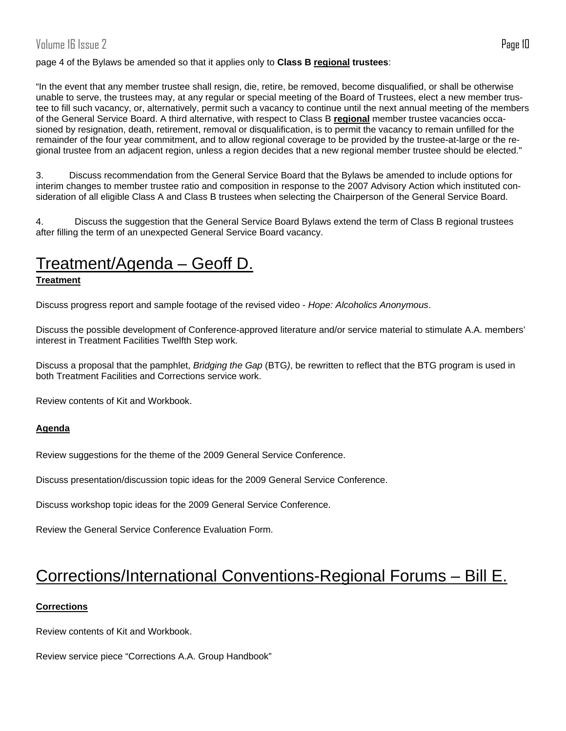### Volume 16 Issue 2 Page 10

#### page 4 of the Bylaws be amended so that it applies only to **Class B regional trustees**:

"In the event that any member trustee shall resign, die, retire, be removed, become disqualified, or shall be otherwise unable to serve, the trustees may, at any regular or special meeting of the Board of Trustees, elect a new member trustee to fill such vacancy, or, alternatively, permit such a vacancy to continue until the next annual meeting of the members of the General Service Board. A third alternative, with respect to Class B **regional** member trustee vacancies occasioned by resignation, death, retirement, removal or disqualification, is to permit the vacancy to remain unfilled for the remainder of the four year commitment, and to allow regional coverage to be provided by the trustee-at-large or the regional trustee from an adjacent region, unless a region decides that a new regional member trustee should be elected."

3. Discuss recommendation from the General Service Board that the Bylaws be amended to include options for interim changes to member trustee ratio and composition in response to the 2007 Advisory Action which instituted consideration of all eligible Class A and Class B trustees when selecting the Chairperson of the General Service Board.

4. Discuss the suggestion that the General Service Board Bylaws extend the term of Class B regional trustees after filling the term of an unexpected General Service Board vacancy.

### Treatment/Agenda – Geoff D.

#### **Treatment**

Discuss progress report and sample footage of the revised video - *Hope: Alcoholics Anonymous*.

Discuss the possible development of Conference-approved literature and/or service material to stimulate A.A. members' interest in Treatment Facilities Twelfth Step work.

Discuss a proposal that the pamphlet, *Bridging the Gap* (BTG*)*, be rewritten to reflect that the BTG program is used in both Treatment Facilities and Corrections service work.

Review contents of Kit and Workbook.

#### **Agenda**

Review suggestions for the theme of the 2009 General Service Conference.

Discuss presentation/discussion topic ideas for the 2009 General Service Conference.

Discuss workshop topic ideas for the 2009 General Service Conference.

Review the General Service Conference Evaluation Form.

### Corrections/International Conventions-Regional Forums – Bill E.

#### **Corrections**

Review contents of Kit and Workbook.

Review service piece "Corrections A.A. Group Handbook"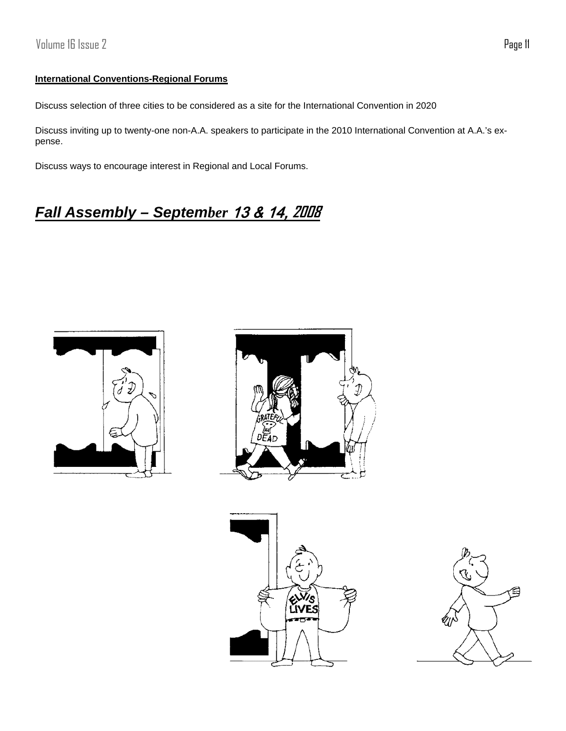### **International Conventions-Regional Forums**

Discuss selection of three cities to be considered as a site for the International Convention in 2020

Discuss inviting up to twenty-one non-A.A. speakers to participate in the 2010 International Convention at A.A.'s expense.

Discuss ways to encourage interest in Regional and Local Forums.

## *Fall Assembly – September* 13 & 14, **2008**